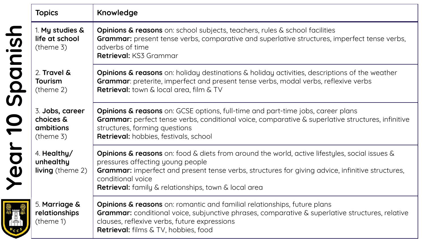|         | <b>Topics</b>                                                | Knowledge                                                                                                                                                                                                                                                                                                                            |
|---------|--------------------------------------------------------------|--------------------------------------------------------------------------------------------------------------------------------------------------------------------------------------------------------------------------------------------------------------------------------------------------------------------------------------|
|         | 1. My studies &<br>life at school<br>$($ theme 3 $)$         | Opinions & reasons on: school subjects, teachers, rules & school facilities<br><b>Grammar:</b> present tense verbs, comparative and superlative structures, imperfect tense verbs,<br>adverbs of time<br><b>Retrieval: KS3 Grammar</b>                                                                                               |
| Spanish | 2. Travel &<br><b>Tourism</b><br>$($ theme 2 $)$             | <b>Opinions &amp; reasons</b> on: holiday destinations & holiday activities, descriptions of the weather<br>Grammar: preterite, imperfect and present tense verbs, modal verbs, reflexive verbs<br><b>Retrieval:</b> town & local area, film & TV                                                                                    |
|         | 3. Jobs, career<br>choices &<br>ambitions<br>$($ theme 3 $)$ | <b>Opinions &amp; reasons</b> on: GCSE options, full-time and part-time jobs, career plans<br><b>Grammar:</b> perfect tense verbs, conditional voice, comparative & superlative structures, infinitive<br>structures, forming questions<br>Retrieval: hobbies, festivals, school                                                     |
| Year    | 4. Healthy/<br>unhealthy<br><b>living</b> (theme 2)          | <b>Opinions &amp; reasons</b> on: food & diets from around the world, active lifestyles, social issues &<br>pressures affecting young people<br>Grammar: imperfect and present tense verbs, structures for giving advice, infinitive structures,<br>conditional voice<br><b>Retrieval:</b> family & relationships, town & local area |
|         | 5. Marriage &<br>relationships<br>(theme 1)                  | <b>Opinions &amp; reasons</b> on: romantic and familial relationships, future plans<br><b>Grammar:</b> conditional voice, subjunctive phrases, comparative & superlative structures, relative<br>clauses, reflexive verbs, future expressions<br><b>Retrieval:</b> films & TV, hobbies, food                                         |